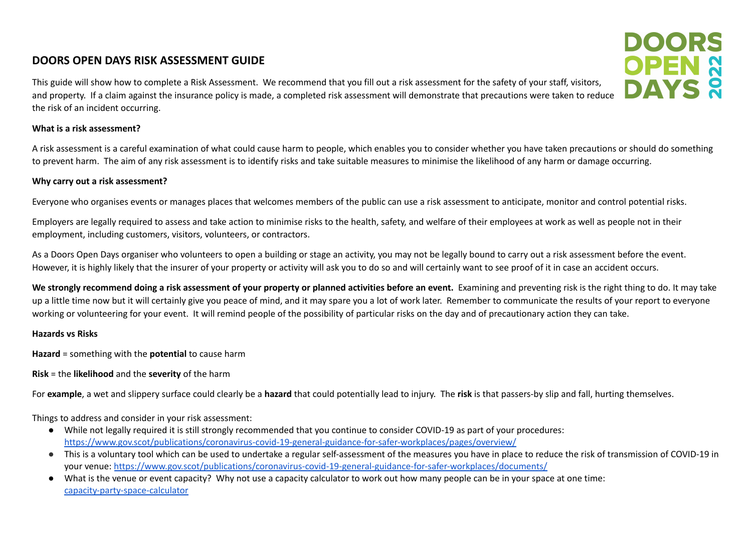## **DOORS OPEN DAYS RISK ASSESSMENT GUIDE**

This guide will show how to complete a Risk Assessment. We recommend that you fill out a risk assessment for the safety of your staff, visitors, and property. If a claim against the insurance policy is made, a completed risk assessment will demonstrate that precautions were taken to reduce the risk of an incident occurring.

#### **What is a risk assessment?**

A risk assessment is a careful examination of what could cause harm to people, which enables you to consider whether you have taken precautions or should do something to prevent harm. The aim of any risk assessment is to identify risks and take suitable measures to minimise the likelihood of any harm or damage occurring.

DOORS

**OPEN &<br>DAYS &** 

#### **Why carry out a risk assessment?**

Everyone who organises events or manages places that welcomes members of the public can use a risk assessment to anticipate, monitor and control potential risks.

Employers are legally required to assess and take action to minimise risks to the health, safety, and welfare of their employees at work as well as people not in their employment, including customers, visitors, volunteers, or contractors.

As a Doors Open Days organiser who volunteers to open a building or stage an activity, you may not be legally bound to carry out a risk assessment before the event. However, it is highly likely that the insurer of your property or activity will ask you to do so and will certainly want to see proof of it in case an accident occurs.

We strongly recommend doing a risk assessment of your property or planned activities before an event. Examining and preventing risk is the right thing to do. It may take up a little time now but it will certainly give you peace of mind, and it may spare you a lot of work later. Remember to communicate the results of your report to everyone working or volunteering for your event. It will remind people of the possibility of particular risks on the day and of precautionary action they can take.

#### **Hazards vs Risks**

**Hazard** = something with the **potential** to cause harm

**Risk** = the **likelihood** and the **severity** of the harm

For **example**, a wet and slippery surface could clearly be a **hazard** that could potentially lead to injury. The **risk** is that passers-by slip and fall, hurting themselves.

Things to address and consider in your risk assessment:

- While not legally required it is still strongly recommended that you continue to consider COVID-19 as part of your procedures: <https://www.gov.scot/publications/coronavirus-covid-19-general-guidance-for-safer-workplaces/pages/overview/>
- This is a voluntary tool which can be used to undertake a regular self-assessment of the measures you have in place to reduce the risk of transmission of COVID-19 in your venue: <https://www.gov.scot/publications/coronavirus-covid-19-general-guidance-for-safer-workplaces/documents/>
- What is the venue or event capacity? Why not use a capacity calculator to work out how many people can be in your space at one time: [capacity-party-space-calculator](https://www.socialtables.com/blog/event-planning/capacity-party-space-calculator/)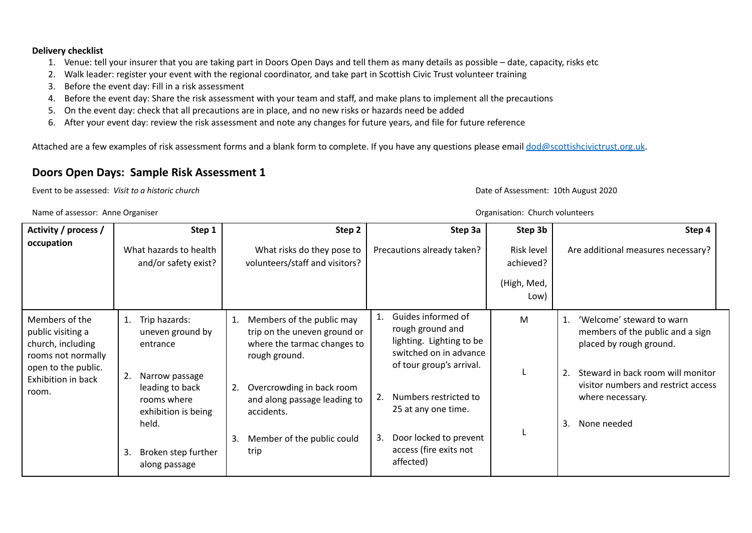#### **Delivery checklist**

- 1. Venue: tell your insurer that you are taking part in Doors Open Days and tell them as many details as possible date, capacity, risks etc
- 2. Walk leader: register your event with the regional coordinator, and take part in Scottish Civic Trust volunteer training
- 3. Before the event day: Fill in a risk assessment
- 4. Before the event day: Share the risk assessment with your team and staff, and make plans to implement all the precautions
- 5. On the event day: check that all precautions are in place, and no new risks or hazards need be added
- 6. After your event day: review the risk assessment and note any changes for future years, and file for future reference

Attached are a few examples of risk assessment forms and a blank form to complete. If you have any questions please email [dod@scottishcivictrust.org.uk](mailto:dod@scottishcivictrust.org.uk).

### **Doors Open Days: Sample Risk Assessment 1**

Event to be assessed: *Visit to a historic church* Date of Assessment: 10th August 2020

Name of assessor: Anne Organiser Organisation: Church volunteers

| Activity / process /<br>occupation                                                                                                   | Step 1<br>What hazards to health<br>and/or safety exist?                                                                                                                                     | Step 2<br>What risks do they pose to<br>volunteers/staff and visitors?                                                                                                                                                                 | Step 3a<br>Precautions already taken?                                                                                                                                                                                                           | Step 3b<br>Risk level<br>achieved?<br>(High, Med,<br>Low) | Step 4<br>Are additional measures necessary?                                                                                                                                                                              |
|--------------------------------------------------------------------------------------------------------------------------------------|----------------------------------------------------------------------------------------------------------------------------------------------------------------------------------------------|----------------------------------------------------------------------------------------------------------------------------------------------------------------------------------------------------------------------------------------|-------------------------------------------------------------------------------------------------------------------------------------------------------------------------------------------------------------------------------------------------|-----------------------------------------------------------|---------------------------------------------------------------------------------------------------------------------------------------------------------------------------------------------------------------------------|
| Members of the<br>public visiting a<br>church, including<br>rooms not normally<br>open to the public.<br>Exhibition in back<br>room. | Trip hazards:<br>1.<br>uneven ground by<br>entrance<br>2.<br>Narrow passage<br>leading to back<br>rooms where<br>exhibition is being<br>held.<br>Broken step further<br>-3.<br>along passage | Members of the public may<br>trip on the uneven ground or<br>where the tarmac changes to<br>rough ground.<br>Overcrowding in back room<br>2.<br>and along passage leading to<br>accidents.<br>Member of the public could<br>3.<br>trip | Guides informed of<br>rough ground and<br>lighting. Lighting to be<br>switched on in advance<br>of tour group's arrival.<br>Numbers restricted to<br>25 at any one time.<br>Door locked to prevent<br>3.<br>access (fire exits not<br>affected) | M                                                         | 'Welcome' steward to warn<br>1.<br>members of the public and a sign<br>placed by rough ground.<br>Steward in back room will monitor<br>2.<br>visitor numbers and restrict access<br>where necessary.<br>None needed<br>3. |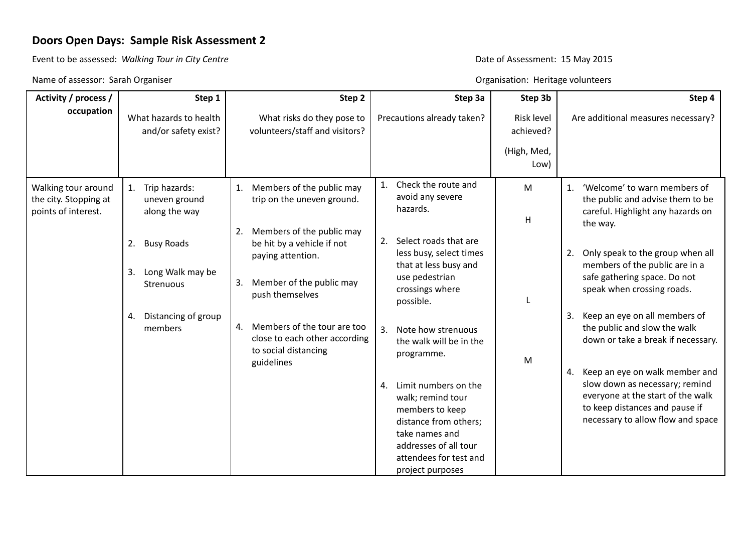## **Doors Open Days: Sample Risk Assessment 2**

Event to be assessed: Walking Tour in City Centre<br>
Bate of Assessment: 15 May 2015

Name of assessor: Sarah Organiser Channel Channel Channel Channel Channel Channel Channel Channel Channel Channel Channel Channel Channel Channel Channel Channel Channel Channel Channel Channel Channel Channel Channel Chan

| Activity / process /                                                | Step 1                                                         | Step 2                                                                                                                                  | Step 3a                                                                                                                                                      | Step 3b                 | Step 4                                                                                                                                                                              |
|---------------------------------------------------------------------|----------------------------------------------------------------|-----------------------------------------------------------------------------------------------------------------------------------------|--------------------------------------------------------------------------------------------------------------------------------------------------------------|-------------------------|-------------------------------------------------------------------------------------------------------------------------------------------------------------------------------------|
| occupation                                                          | What hazards to health<br>and/or safety exist?                 | What risks do they pose to<br>volunteers/staff and visitors?                                                                            | Precautions already taken?                                                                                                                                   | Risk level<br>achieved? | Are additional measures necessary?                                                                                                                                                  |
|                                                                     |                                                                |                                                                                                                                         |                                                                                                                                                              | (High, Med,<br>Low)     |                                                                                                                                                                                     |
| Walking tour around<br>the city. Stopping at<br>points of interest. | Trip hazards:<br>1.<br>uneven ground<br>along the way          | Members of the public may<br>1.<br>trip on the uneven ground.                                                                           | Check the route and<br>$1_{\cdot}$<br>avoid any severe<br>hazards.                                                                                           | M<br>H                  | 'Welcome' to warn members of<br>1.<br>the public and advise them to be<br>careful. Highlight any hazards on<br>the way.                                                             |
|                                                                     | <b>Busy Roads</b><br>2.<br>Long Walk may be<br>3.<br>Strenuous | Members of the public may<br>2.<br>be hit by a vehicle if not<br>paying attention.<br>Member of the public may<br>3.<br>push themselves | Select roads that are<br>2.<br>less busy, select times<br>that at less busy and<br>use pedestrian<br>crossings where                                         |                         | Only speak to the group when all<br>2.<br>members of the public are in a<br>safe gathering space. Do not<br>speak when crossing roads.                                              |
|                                                                     | Distancing of group<br>4.<br>members                           | 4. Members of the tour are too<br>close to each other according<br>to social distancing<br>guidelines                                   | possible.<br>3.<br>Note how strenuous<br>the walk will be in the<br>programme.<br>Limit numbers on the                                                       | M                       | Keep an eye on all members of<br>3.<br>the public and slow the walk<br>down or take a break if necessary.<br>Keep an eye on walk member and<br>4.<br>slow down as necessary; remind |
|                                                                     |                                                                |                                                                                                                                         | 4.<br>walk; remind tour<br>members to keep<br>distance from others;<br>take names and<br>addresses of all tour<br>attendees for test and<br>project purposes |                         | everyone at the start of the walk<br>to keep distances and pause if<br>necessary to allow flow and space                                                                            |